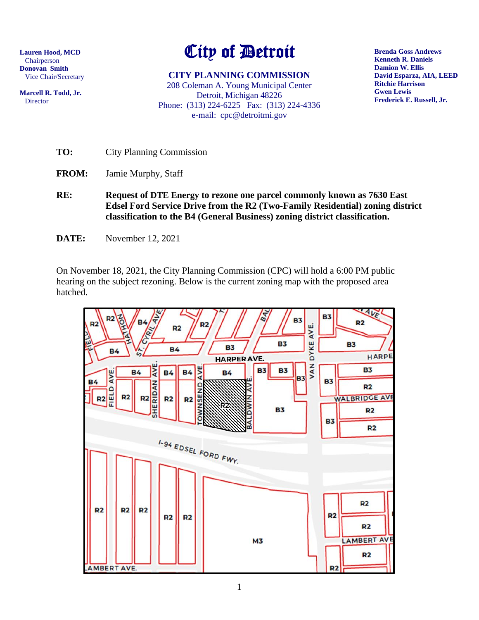**Lauren Hood, MCD** Chairperson **Donovan Smith** Vice Chair/Secretary

**Marcell R. Todd, Jr.** Director

# City of Detroit

**CITY PLANNING COMMISSION** 208 Coleman A. Young Municipal Center Detroit, Michigan 48226 Phone: (313) 224-6225 Fax: (313) 224-4336 e-mail: cpc@detroitmi.gov

**Brenda Goss Andrews Kenneth R. Daniels Damion W. Ellis David Esparza, AIA, LEED Ritchie Harrison Gwen Lewis Frederick E. Russell, Jr.**

**TO:** City Planning Commission

- **FROM:** Jamie Murphy, Staff
- **RE: Request of DTE Energy to rezone one parcel commonly known as 7630 East Edsel Ford Service Drive from the R2 (Two-Family Residential) zoning district classification to the B4 (General Business) zoning district classification.**
- **DATE:** November 12, 2021

On November 18, 2021, the City Planning Commission (CPC) will hold a 6:00 PM public hearing on the subject rezoning. Below is the current zoning map with the proposed area hatched.

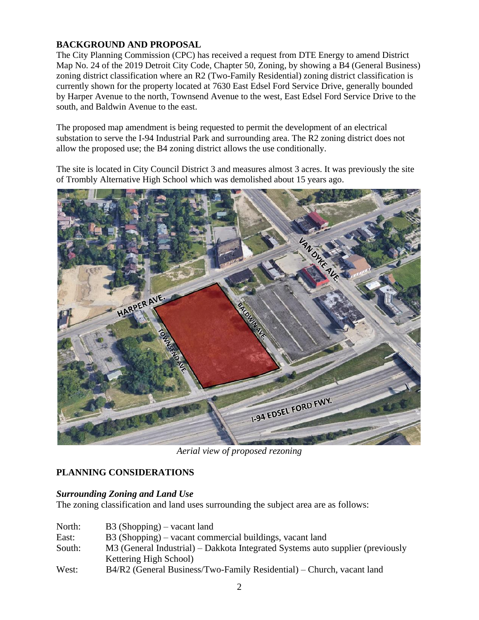## **BACKGROUND AND PROPOSAL**

The City Planning Commission (CPC) has received a request from DTE Energy to amend District Map No. 24 of the 2019 Detroit City Code, Chapter 50, Zoning, by showing a B4 (General Business) zoning district classification where an R2 (Two-Family Residential) zoning district classification is currently shown for the property located at 7630 East Edsel Ford Service Drive, generally bounded by Harper Avenue to the north, Townsend Avenue to the west, East Edsel Ford Service Drive to the south, and Baldwin Avenue to the east.

The proposed map amendment is being requested to permit the development of an electrical substation to serve the I-94 Industrial Park and surrounding area. The R2 zoning district does not allow the proposed use; the B4 zoning district allows the use conditionally.

The site is located in City Council District 3 and measures almost 3 acres. It was previously the site of Trombly Alternative High School which was demolished about 15 years ago.



*Aerial view of proposed rezoning*

## **PLANNING CONSIDERATIONS**

## *Surrounding Zoning and Land Use*

The zoning classification and land uses surrounding the subject area are as follows:

| North: | $B3$ (Shopping) – vacant land                                                  |
|--------|--------------------------------------------------------------------------------|
| East:  | B3 (Shopping) – vacant commercial buildings, vacant land                       |
| South: | M3 (General Industrial) – Dakkota Integrated Systems auto supplier (previously |
|        | Kettering High School)                                                         |
| West:  | B4/R2 (General Business/Two-Family Residential) – Church, vacant land          |